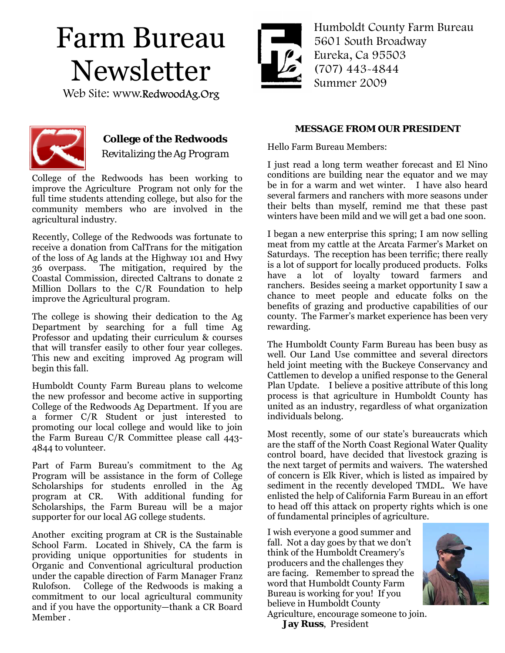# Farm Bureau Newsletter

Web Site: www.RedwoodAg.Org



Humboldt County Farm Bureau 5601 South Broadway Eureka, Ca 95503 (707) 443-4844 Summer 2009



## **College of the Redwoods**  *Revitalizing the Ag Program*

College of the Redwoods has been working to improve the Agriculture Program not only for the full time students attending college, but also for the community members who are involved in the agricultural industry.

Recently, College of the Redwoods was fortunate to receive a donation from CalTrans for the mitigation of the loss of Ag lands at the Highway 101 and Hwy 36 overpass. The mitigation, required by the Coastal Commission, directed Caltrans to donate 2 Million Dollars to the C/R Foundation to help improve the Agricultural program.

The college is showing their dedication to the Ag Department by searching for a full time Ag Professor and updating their curriculum & courses that will transfer easily to other four year colleges. This new and exciting improved Ag program will begin this fall.

Humboldt County Farm Bureau plans to welcome the new professor and become active in supporting College of the Redwoods Ag Department. If you are a former C/R Student or just interested to promoting our local college and would like to join the Farm Bureau C/R Committee please call 443- 4844 to volunteer.

Part of Farm Bureau's commitment to the Ag Program will be assistance in the form of College Scholarships for students enrolled in the Ag program at CR. With additional funding for Scholarships, the Farm Bureau will be a major supporter for our local AG college students.

Another exciting program at CR is the Sustainable School Farm. Located in Shively, CA the farm is providing unique opportunities for students in Organic and Conventional agricultural production under the capable direction of Farm Manager Franz Rulofson. College of the Redwoods is making a commitment to our local agricultural community and if you have the opportunity—thank a CR Board Member .

#### **MESSAGE FROM OUR PRESIDENT**

Hello Farm Bureau Members:

I just read a long term weather forecast and El Nino conditions are building near the equator and we may be in for a warm and wet winter. I have also heard several farmers and ranchers with more seasons under their belts than myself, remind me that these past winters have been mild and we will get a bad one soon.

I began a new enterprise this spring; I am now selling meat from my cattle at the Arcata Farmer's Market on Saturdays. The reception has been terrific; there really is a lot of support for locally produced products. Folks have a lot of loyalty toward farmers and ranchers. Besides seeing a market opportunity I saw a chance to meet people and educate folks on the benefits of grazing and productive capabilities of our county. The Farmer's market experience has been very rewarding.

The Humboldt County Farm Bureau has been busy as well. Our Land Use committee and several directors held joint meeting with the Buckeye Conservancy and Cattlemen to develop a unified response to the General Plan Update. I believe a positive attribute of this long process is that agriculture in Humboldt County has united as an industry, regardless of what organization individuals belong.

Most recently, some of our state's bureaucrats which are the staff of the North Coast Regional Water Quality control board, have decided that livestock grazing is the next target of permits and waivers. The watershed of concern is Elk River, which is listed as impaired by sediment in the recently developed TMDL. We have enlisted the help of California Farm Bureau in an effort to head off this attack on property rights which is one of fundamental principles of agriculture.

I wish everyone a good summer and fall. Not a day goes by that we don't think of the Humboldt Creamery's producers and the challenges they are facing. Remember to spread the word that Humboldt County Farm Bureau is working for you! If you believe in Humboldt County



Agriculture, encourage someone to join. **Jay Russ**, President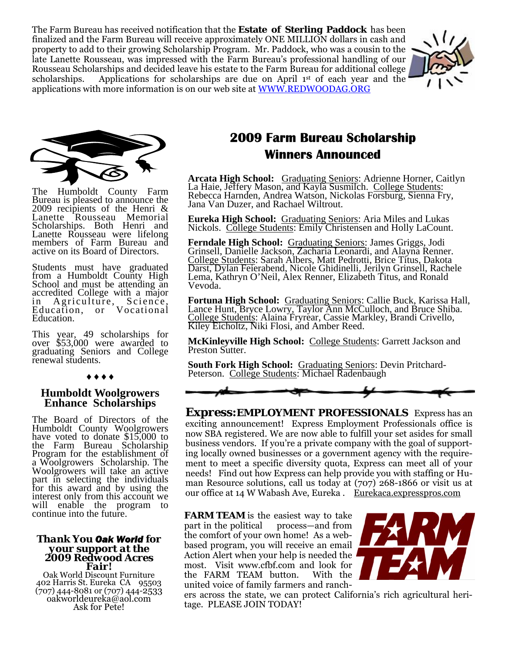The Farm Bureau has received notification that the **Estate of Sterling Paddock** has been finalized and the Farm Bureau will receive approximately ONE MILLION dollars in cash and property to add to their growing Scholarship Program. Mr. Paddock, who was a cousin to the late Lanette Rousseau, was impressed with the Farm Bureau's professional handling of our Rousseau Scholarships and decided leave his estate to the Farm Bureau for additional college scholarships. Applications for scholarships are due on April 1<sup>st</sup> of each year and the applications with more information is on our web site at WWW.REDWOODAG.ORG





The Humboldt County Farm Bureau is pleased to announce the 2009 recipients of the Henri & Lanette Rousseau Memorial Scholarships. Both Henri and Lanette Rousseau were lifelong members of Farm Bureau and active on its Board of Directors.

Students must have graduated from a Humboldt County High School and must be attending an accredited College with a major in Agriculture, Science, Education, or Vocational Education.

This year, 49 scholarships for over \$53,000 were awarded to graduating Seniors and College renewal students.

#### ♦♦♦♦

#### **Humboldt Woolgrowers Enhance Scholarships**

The Board of Directors of the Humboldt County Woolgrowers have voted to donate \$15,000 to the Farm Bureau Scholarship Program for the establishment of a Woolgrowers Scholarship. The Woolgrowers will take an active<br>part in selecting the individuals for this award and by using the interest only from this account we will enable the program to continue into the future.

## *Thank You Oak World for your support at the 2009 Redwood Acres*

*Fair!* Oak World Discount Furniture 402 Harris St. Eureka CA 95503 (707) 444-8081 or (707) 444-2533 oakworldeureka@aol.com Ask for Pete!

# **2009 Farm Bureau Scholarship Winners Announced**

**Arcata High School:** Graduating Seniors: Adrienne Horner, Caitlyn La Haie, Jeffery Mason, and Kayla Susmilch. College Students: Rebecca Harnden, Andrea Watson, Nickolas Forsburg, Sienna Fry, Jana Van Duzer, and Rachael Wiltrout.

**Eureka High School:** Graduating Seniors: Aria Miles and Lukas Nickols. College Students: Emily Christensen and Holly LaCount.

**Ferndale High School:** Graduating Seniors: James Griggs, Jodi Grinsell, Danielle Jackson, Zacharia Leonardi, and Alayna Renner. College Students: Sarah Albers, Matt Pedrotti, Brice Titus, Dakota Darst, Dylan Feierabend, Nicole Ghidinelli, Jerilyn Grinsell, Rachele Lema, Kathryn O'Neil, Alex Renner, Elizabeth Titus, and Ronald Vevoda.

**Fortuna High School:** Graduating Seniors: Callie Buck, Karissa Hall, Lance Hunt, Bryce Lowry, Taylor Ann McCulloch, and Bruce Shiba. College Students: Alaina Fryrear, Cassie Markley, Brandi Crivello, Kiley Eicholtz, Niki Flosi, and Amber Reed.

**McKinleyville High School:** College Students: Garrett Jackson and Preston Sutter.

**South Fork High School:** Graduating Seniors: Devin Pritchard-Peterson. College Students: Michael Radenbaugh



*Express:EMPLOYMENT PROFESSIONALS* Express has an exciting announcement! Express Employment Professionals office is now SBA registered. We are now able to fulfill your set asides for small business vendors. If you're a private company with the goal of supporting locally owned businesses or a government agency with the requirement to meet a specific diversity quota, Express can meet all of your needs! Find out how Express can help provide you with staffing or Human Resource solutions, call us today at (707) 268-1866 or visit us at our office at 14 W Wabash Ave, Eureka . Eurekaca.expresspros.com

**FARM TEAM** is the easiest way to take part in the political process—and from the comfort of your own home! As a webbased program, you will receive an email Action Alert when your help is needed the most. Visit www.cfbf.com and look for the FARM TEAM button. With the united voice of family farmers and ranch-



ers across the state, we can protect California's rich agricultural heritage. PLEASE JOIN TODAY!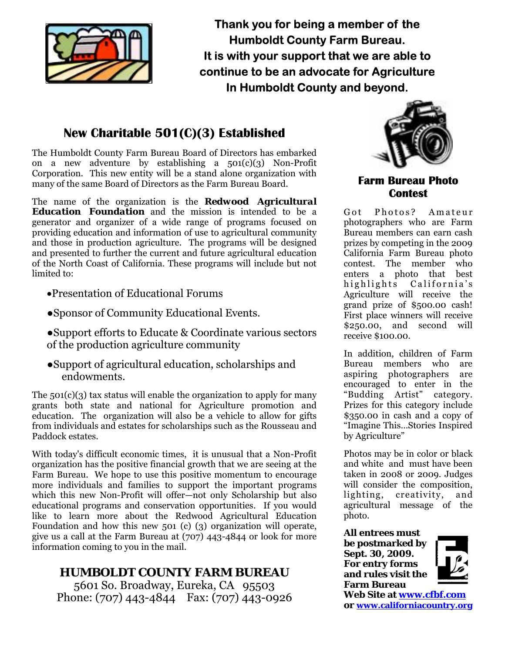

**Thank you for being a member of the Humboldt County Farm Bureau. It is with your support that we are able to continue to be an advocate for Agriculture In Humboldt County and beyond.** 

# **New Charitable 501(C)(3) Established**

The Humboldt County Farm Bureau Board of Directors has embarked on a new adventure by establishing a  $501(c)(3)$  Non-Profit Corporation. This new entity will be a stand alone organization with many of the same Board of Directors as the Farm Bureau Board.

The name of the organization is the *Redwood Agricultural Education Foundation* and the mission is intended to be a generator and organizer of a wide range of programs focused on providing education and information of use to agricultural community and those in production agriculture. The programs will be designed and presented to further the current and future agricultural education of the North Coast of California. These programs will include but not limited to:

- •Presentation of Educational Forums
- ●Sponsor of Community Educational Events.
- ●Support efforts to Educate & Coordinate various sectors of the production agriculture community
- ●Support of agricultural education, scholarships and endowments.

The  $501(c)(3)$  tax status will enable the organization to apply for many grants both state and national for Agriculture promotion and education. The organization will also be a vehicle to allow for gifts from individuals and estates for scholarships such as the Rousseau and Paddock estates.

With today's difficult economic times, it is unusual that a Non-Profit organization has the positive financial growth that we are seeing at the Farm Bureau. We hope to use this positive momentum to encourage more individuals and families to support the important programs which this new Non-Profit will offer—not only Scholarship but also educational programs and conservation opportunities. If you would like to learn more about the Redwood Agricultural Education Foundation and how this new 501 (c) (3) organization will operate, give us a call at the Farm Bureau at (707) 443-4844 or look for more information coming to you in the mail.

## **HUMBOLDT COUNTY FARM BUREAU**

5601 So. Broadway, Eureka, CA 95503 Phone: (707) 443-4844 Fax: (707) 443-0926



### **Farm Bureau Photo Contest**

Got Photos? Amateur photographers who are Farm Bureau members can earn cash prizes by competing in the 2009 California Farm Bureau photo contest. The member who enters a photo that best highlights California's Agriculture will receive the grand prize of \$500.00 cash! First place winners will receive \$250.00, and second will receive \$100.00.

In addition, children of Farm Bureau members who are aspiring photographers are encouraged to enter in the "Budding Artist" category. Prizes for this category include \$350.00 in cash and a copy of "Imagine This…Stories Inspired by Agriculture"

Photos may be in color or black and white and must have been taken in 2008 or 2009. Judges will consider the composition, lighting, creativity, and agricultural message of the photo.

**All entrees must be postmarked by Sept. 30, 2009. For entry forms** 

**and rules visit the Farm Bureau** 



**Web Site at www.cfbf.com or www.californiacountry.org**